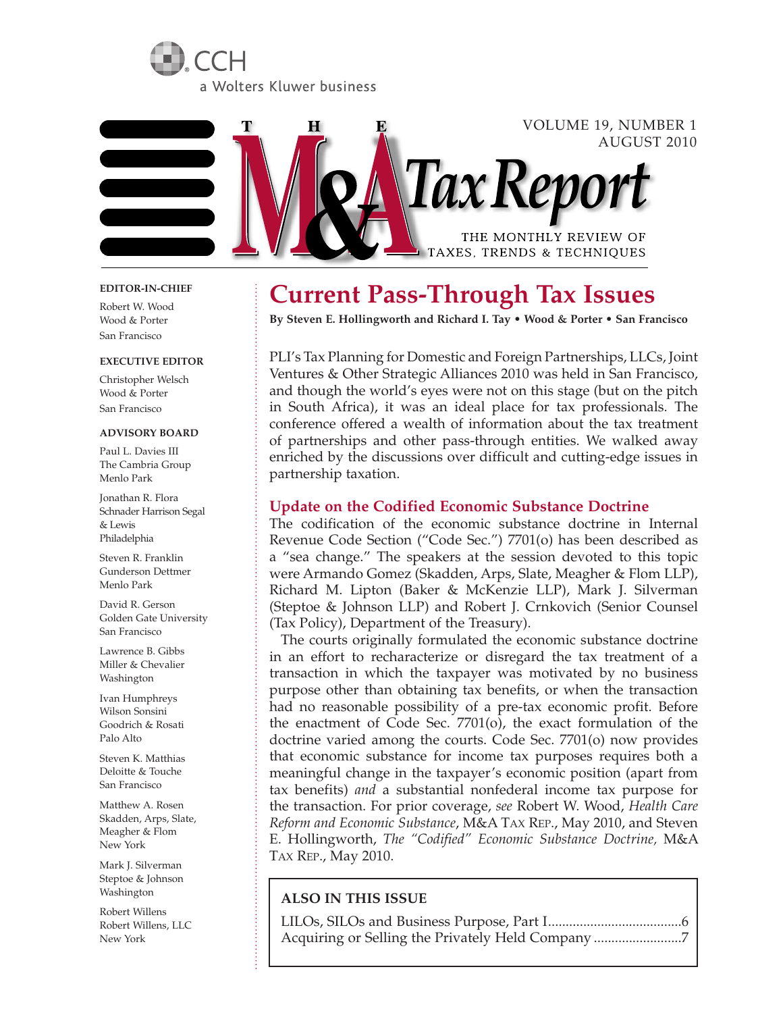



# VOLUME 19, NUMBER 1 AUGUST 2010 Tax Rep THE MONTHLY REVIEW OF TAXES, TRENDS & TECHNIQUES

#### **EDITOR-IN-CHIEF**

Robert W. Wood Wood & Porter San Francisco

#### **EXECUTIVE EDITOR**

Christopher Welsch Wood & Porter San Francisco

#### **ADVISORY BOARD**

Paul L. Davies III The Cambria Group Menlo Park

Jonathan R. Flora Schnader Harrison Segal & Lewis Philadelphia

Steven R. Franklin Gunderson Dettmer Menlo Park

David R. Gerson Golden Gate University San Francisco

Lawrence B. Gibbs Miller & Chevalier Washington

Ivan Humphreys Wilson Sonsini Goodrich & Rosati Palo Alto

Steven K. Matthias Deloitte & Touche San Francisco

Matthew A. Rosen Skadden, Arps, Slate, Meagher & Flom New York

Mark J. Silverman Steptoe & Johnson Washington

Robert Willens Robert Willens, LLC New York

# **Current Pass-Through Tax Issues**

**By Steven E. Hollingworth and Richard I. Tay • Wood & Porter • San Francisco**

PLI's Tax Planning for Domestic and Foreign Partnerships, LLCs, Joint Ventures & Other Strategic Alliances 2010 was held in San Francisco, and though the world's eyes were not on this stage (but on the pitch in South Africa), it was an ideal place for tax professionals. The conference offered a wealth of information about the tax treatment of partnerships and other pass-through entities. We walked away enriched by the discussions over difficult and cutting-edge issues in partnership taxation.

#### **Update on the Codified Economic Substance Doctrine**

The codification of the economic substance doctrine in Internal Revenue Code Section ("Code Sec.") 7701(o) has been described as a "sea change." The speakers at the session devoted to this topic were Armando Gomez (Skadden, Arps, Slate, Meagher & Flom LLP), Richard M. Lipton (Baker & McKenzie LLP), Mark J. Silverman (Steptoe & Johnson LLP) and Robert J. Crnkovich (Senior Counsel (Tax Policy), Department of the Treasury).

The courts originally formulated the economic substance doctrine in an effort to recharacterize or disregard the tax treatment of a transaction in which the taxpayer was motivated by no business purpose other than obtaining tax benefits, or when the transaction had no reasonable possibility of a pre-tax economic profit. Before the enactment of Code Sec. 7701(o), the exact formulation of the doctrine varied among the courts. Code Sec. 7701(o) now provides that economic substance for income tax purposes requires both a meaningful change in the taxpayer's economic position (apart from tax benefits) *and* a substantial nonfederal income tax purpose for the transaction. For prior coverage, *see* Robert W. Wood, *Health Care Reform and Economic Substance*, M&A TAX REP., May 2010, and Steven E. Hollingworth, *The "Codified" Economic Substance Doctrine,* M&A TAX REP., May 2010.

### **ALSO IN THIS ISSUE**

LILOs, SILOs and Business Purpose, Part I ......................................6 Acquiring or Selling the Privately Held Company .........................7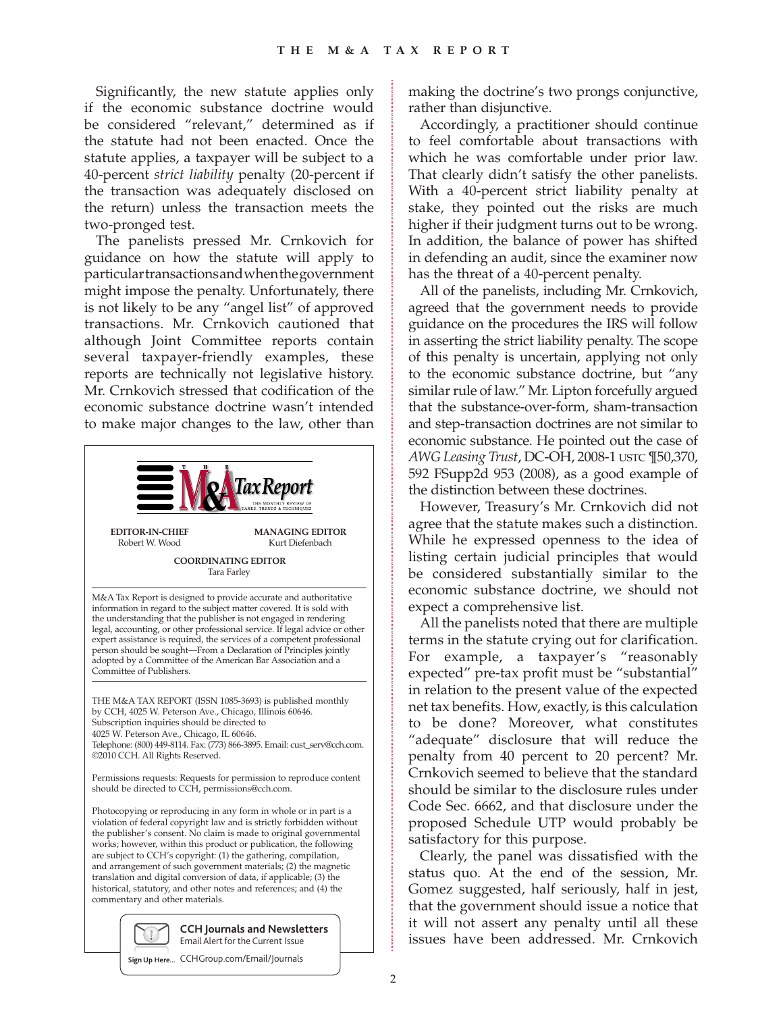Significantly, the new statute applies only if the economic substance doctrine would be considered "relevant," determined as if the statute had not been enacted. Once the statute applies, a taxpayer will be subject to a 40-percent *strict liability* penalty (20-percent if the transaction was adequately disclosed on the return) unless the transaction meets the two-pronged test.

The panelists pressed Mr. Crnkovich for guidance on how the statute will apply to particular transactions and when the government might impose the penalty. Unfortunately, there is not likely to be any "angel list" of approved transactions. Mr. Crnkovich cautioned that although Joint Committee reports contain several taxpayer-friendly examples, these reports are technically not legislative history. Mr. Crnkovich stressed that codification of the economic substance doctrine wasn't intended to make major changes to the law, other than



©2010 CCH. All Rights Reserved.

Permissions requests: Requests for permission to reproduce content should be directed to CCH, permissions@cch.com.

Photocopying or reproducing in any form in whole or in part is a violation of federal copyright law and is strictly forbidden without the publisher's consent. No claim is made to original governmental works; however, within this product or publication, the following are subject to CCH's copyright: (1) the gathering, compilation, and arrangement of such government materials; (2) the magnetic translation and digital conversion of data, if applicable; (3) the historical, statutory, and other notes and references; and (4) the commentary and other materials.



**Sign Up Here...** CCHGroup.com/Email/Journals

making the doctrine's two prongs conjunctive, rather than disjunctive.

Accordingly, a practitioner should continue to feel comfortable about transactions with which he was comfortable under prior law. That clearly didn't satisfy the other panelists. With a 40-percent strict liability penalty at stake, they pointed out the risks are much higher if their judgment turns out to be wrong. In addition, the balance of power has shifted in defending an audit, since the examiner now has the threat of a 40-percent penalty.

All of the panelists, including Mr. Crnkovich, agreed that the government needs to provide guidance on the procedures the IRS will follow in asserting the strict liability penalty. The scope of this penalty is uncertain, applying not only to the economic substance doctrine, but "any similar rule of law." Mr. Lipton forcefully argued that the substance-over-form, sham-transaction and step-transaction doctrines are not similar to economic substance. He pointed out the case of *AWG Leasing Trust*, DC-OH, 2008-1 USTC ¶50,370, 592 FSupp2d 953 (2008), as a good example of the distinction between these doctrines.

However, Treasury's Mr. Crnkovich did not agree that the statute makes such a distinction. While he expressed openness to the idea of listing certain judicial principles that would be considered substantially similar to the economic substance doctrine, we should not expect a comprehensive list.

All the panelists noted that there are multiple terms in the statute crying out for clarification. For example, a taxpayer's "reasonably expected" pre-tax profit must be "substantial" in relation to the present value of the expected net tax benefits. How, exactly, is this calculation to be done? Moreover, what constitutes "adequate" disclosure that will reduce the penalty from 40 percent to 20 percent? Mr. Crnkovich seemed to believe that the standard should be similar to the disclosure rules under Code Sec. 6662, and that disclosure under the proposed Schedule UTP would probably be satisfactory for this purpose.

Clearly, the panel was dissatisfied with the status quo. At the end of the session, Mr. Gomez suggested, half seriously, half in jest, that the government should issue a notice that it will not assert any penalty until all these issues have been addressed. Mr. Crnkovich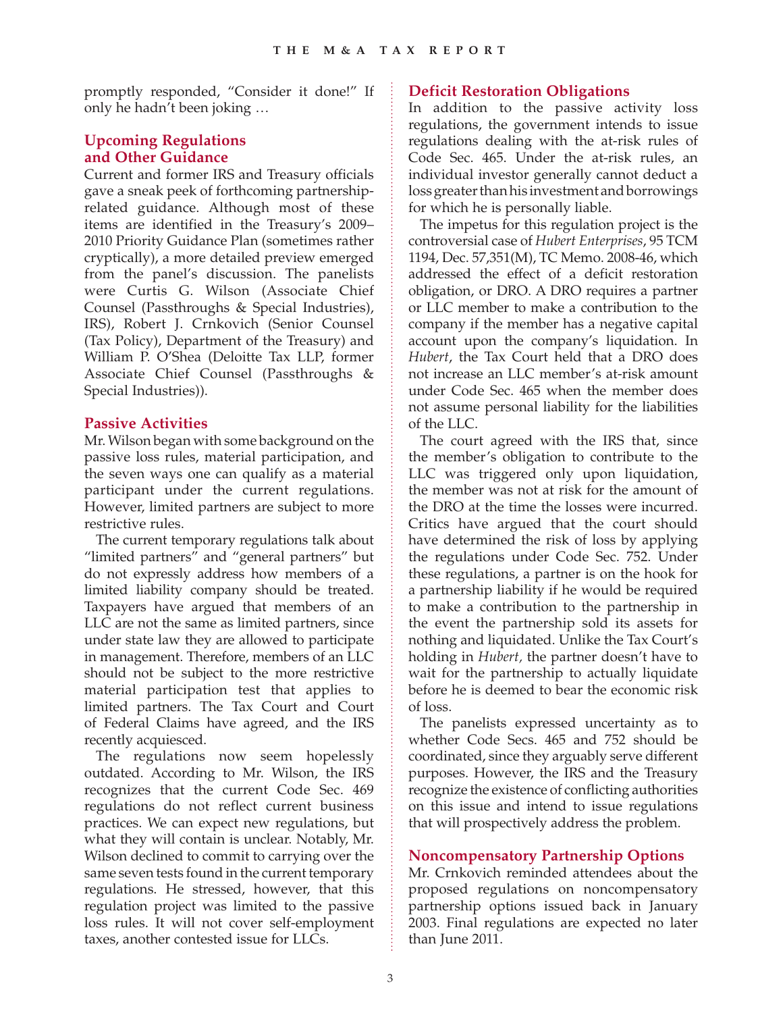promptly responded, "Consider it done!" If only he hadn't been joking …

# **Upcoming Regulations and Other Guidance**

Current and former IRS and Treasury officials gave a sneak peek of forthcoming partnershiprelated guidance. Although most of these items are identified in the Treasury's 2009– 2010 Priority Guidance Plan (sometimes rather cryptically), a more detailed preview emerged from the panel's discussion. The panelists were Curtis G. Wilson (Associate Chief Counsel (Passthroughs & Special Industries), IRS), Robert J. Crnkovich (Senior Counsel (Tax Policy), Department of the Treasury) and William P. O'Shea (Deloitte Tax LLP, former Associate Chief Counsel (Passthroughs & Special Industries)).

# **Passive Activities**

Mr. Wilson began with some background on the passive loss rules, material participation, and the seven ways one can qualify as a material participant under the current regulations. However, limited partners are subject to more restrictive rules.

The current temporary regulations talk about "limited partners" and "general partners" but do not expressly address how members of a limited liability company should be treated. Taxpayers have argued that members of an LLC are not the same as limited partners, since under state law they are allowed to participate in management. Therefore, members of an LLC should not be subject to the more restrictive material participation test that applies to limited partners. The Tax Court and Court of Federal Claims have agreed, and the IRS recently acquiesced.

The regulations now seem hopelessly outdated. According to Mr. Wilson, the IRS recognizes that the current Code Sec. 469 regulations do not reflect current business practices. We can expect new regulations, but what they will contain is unclear. Notably, Mr. Wilson declined to commit to carrying over the same seven tests found in the current temporary regulations. He stressed, however, that this regulation project was limited to the passive loss rules. It will not cover self-employment taxes, another contested issue for LLCs.

# **Deficit Restoration Obligations**

In addition to the passive activity loss regulations, the government intends to issue regulations dealing with the at-risk rules of Code Sec. 465. Under the at-risk rules, an individual investor generally cannot deduct a loss greater than his investment and borrowings for which he is personally liable.

The impetus for this regulation project is the controversial case of *Hubert Enterprises*, 95 TCM 1194, Dec. 57,351(M), TC Memo. 2008-46, which addressed the effect of a deficit restoration obligation, or DRO. A DRO requires a partner or LLC member to make a contribution to the company if the member has a negative capital account upon the company's liquidation. In *Hubert*, the Tax Court held that a DRO does not increase an LLC member's at-risk amount under Code Sec. 465 when the member does not assume personal liability for the liabilities of the LLC.

The court agreed with the IRS that, since the member's obligation to contribute to the LLC was triggered only upon liquidation, the member was not at risk for the amount of the DRO at the time the losses were incurred. Critics have argued that the court should have determined the risk of loss by applying the regulations under Code Sec. 752. Under these regulations, a partner is on the hook for a partnership liability if he would be required to make a contribution to the partnership in the event the partnership sold its assets for nothing and liquidated. Unlike the Tax Court's holding in *Hubert,* the partner doesn't have to wait for the partnership to actually liquidate before he is deemed to bear the economic risk of loss.

The panelists expressed uncertainty as to whether Code Secs. 465 and 752 should be coordinated, since they arguably serve different purposes. However, the IRS and the Treasury recognize the existence of conflicting authorities on this issue and intend to issue regulations that will prospectively address the problem.

# **Noncompensatory Partnership Options**

Mr. Crnkovich reminded attendees about the proposed regulations on noncompensatory partnership options issued back in January 2003. Final regulations are expected no later than June 2011.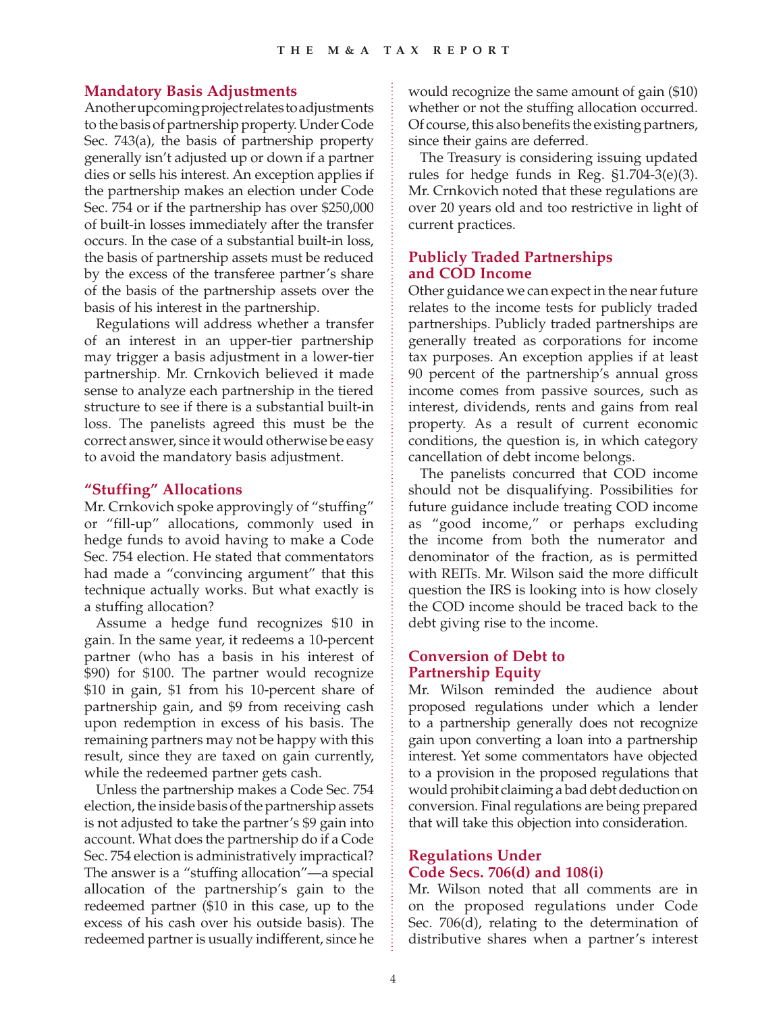### **Mandatory Basis Adjustments**

Another upcoming project relates to adjustments to the basis of partnership property. Under Code Sec. 743(a), the basis of partnership property generally isn't adjusted up or down if a partner dies or sells his interest. An exception applies if the partnership makes an election under Code Sec. 754 or if the partnership has over \$250,000 of built-in losses immediately after the transfer occurs. In the case of a substantial built-in loss, the basis of partnership assets must be reduced by the excess of the transferee partner's share of the basis of the partnership assets over the basis of his interest in the partnership.

Regulations will address whether a transfer of an interest in an upper-tier partnership may trigger a basis adjustment in a lower-tier partnership. Mr. Crnkovich believed it made sense to analyze each partnership in the tiered structure to see if there is a substantial built-in loss. The panelists agreed this must be the correct answer, since it would otherwise be easy to avoid the mandatory basis adjustment.

#### **"Stuffing" Allocations**

Mr. Crnkovich spoke approvingly of "stuffing" or "fill-up" allocations, commonly used in hedge funds to avoid having to make a Code Sec. 754 election. He stated that commentators had made a "convincing argument" that this technique actually works. But what exactly is a stuffing allocation?

Assume a hedge fund recognizes \$10 in gain. In the same year, it redeems a 10-percent partner (who has a basis in his interest of \$90) for \$100. The partner would recognize \$10 in gain, \$1 from his 10-percent share of partnership gain, and \$9 from receiving cash upon redemption in excess of his basis. The remaining partners may not be happy with this result, since they are taxed on gain currently, while the redeemed partner gets cash.

Unless the partnership makes a Code Sec. 754 election, the inside basis of the partnership assets is not adjusted to take the partner's \$9 gain into account. What does the partnership do if a Code Sec. 754 election is administratively impractical? The answer is a "stuffing allocation"—a special allocation of the partnership's gain to the redeemed partner (\$10 in this case, up to the excess of his cash over his outside basis). The redeemed partner is usually indifferent, since he would recognize the same amount of gain (\$10) whether or not the stuffing allocation occurred. Of course, this also benefits the existing partners, since their gains are deferred.

The Treasury is considering issuing updated rules for hedge funds in Reg. §1.704-3(e)(3). Mr. Crnkovich noted that these regulations are over 20 years old and too restrictive in light of current practices.

# **Publicly Traded Partnerships and COD Income**

Other guidance we can expect in the near future relates to the income tests for publicly traded partnerships. Publicly traded partnerships are generally treated as corporations for income tax purposes. An exception applies if at least 90 percent of the partnership's annual gross income comes from passive sources, such as interest, dividends, rents and gains from real property. As a result of current economic conditions, the question is, in which category cancellation of debt income belongs.

The panelists concurred that COD income should not be disqualifying. Possibilities for future guidance include treating COD income as "good income," or perhaps excluding the income from both the numerator and denominator of the fraction, as is permitted with REITs. Mr. Wilson said the more difficult question the IRS is looking into is how closely the COD income should be traced back to the debt giving rise to the income.

# **Conversion of Debt to Partnership Equity**

Mr. Wilson reminded the audience about proposed regulations under which a lender to a partnership generally does not recognize gain upon converting a loan into a partnership interest. Yet some commentators have objected to a provision in the proposed regulations that would prohibit claiming a bad debt deduction on conversion. Final regulations are being prepared that will take this objection into consideration.

# **Regulations Under Code Secs. 706(d) and 108(i)**

Mr. Wilson noted that all comments are in on the proposed regulations under Code Sec. 706(d), relating to the determination of distributive shares when a partner's interest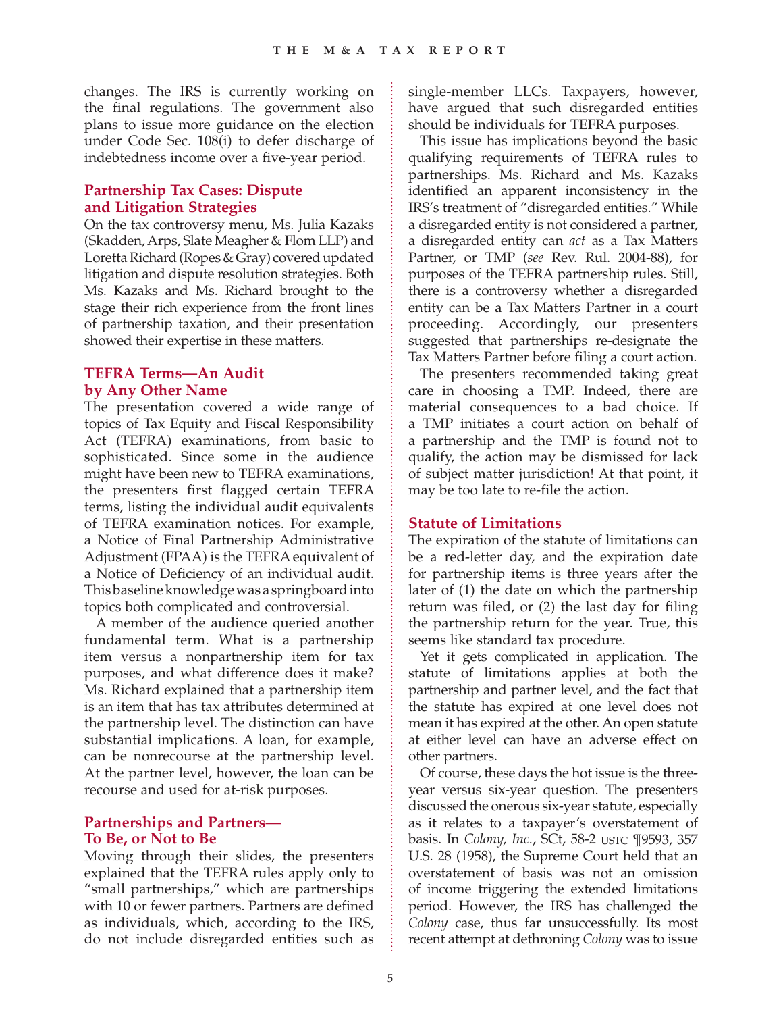changes. The IRS is currently working on the final regulations. The government also plans to issue more guidance on the election under Code Sec. 108(i) to defer discharge of indebtedness income over a five-year period.

# **Partnership Tax Cases: Dispute and Litigation Strategies**

On the tax controversy menu, Ms. Julia Kazaks (Skadden, Arps, Slate Meagher & Flom LLP) and Loretta Richard (Ropes & Gray) covered updated litigation and dispute resolution strategies. Both Ms. Kazaks and Ms. Richard brought to the stage their rich experience from the front lines of partnership taxation, and their presentation showed their expertise in these matters.

#### **TEFRA Terms—An Audit by Any Other Name**

The presentation covered a wide range of topics of Tax Equity and Fiscal Responsibility Act (TEFRA) examinations, from basic to sophisticated. Since some in the audience might have been new to TEFRA examinations, the presenters first flagged certain TEFRA terms, listing the individual audit equivalents of TEFRA examination notices. For example, a Notice of Final Partnership Administrative Adjustment (FPAA) is the TEFRA equivalent of a Notice of Deficiency of an individual audit. This baseline knowledge was a springboard into topics both complicated and controversial.

A member of the audience queried another fundamental term. What is a partnership item versus a nonpartnership item for tax purposes, and what difference does it make? Ms. Richard explained that a partnership item is an item that has tax attributes determined at the partnership level. The distinction can have substantial implications. A loan, for example, can be nonrecourse at the partnership level. At the partner level, however, the loan can be recourse and used for at-risk purposes.

### **Partnerships and Partners— To Be, or Not to Be**

Moving through their slides, the presenters explained that the TEFRA rules apply only to "small partnerships," which are partnerships with 10 or fewer partners. Partners are defined as individuals, which, according to the IRS, do not include disregarded entities such as single-member LLCs. Taxpayers, however, have argued that such disregarded entities should be individuals for TEFRA purposes.

This issue has implications beyond the basic qualifying requirements of TEFRA rules to partnerships. Ms. Richard and Ms. Kazaks identified an apparent inconsistency in the IRS's treatment of "disregarded entities." While a disregarded entity is not considered a partner, a disregarded entity can *act* as a Tax Matters Partner, or TMP (*see* Rev. Rul. 2004-88), for purposes of the TEFRA partnership rules. Still, there is a controversy whether a disregarded entity can be a Tax Matters Partner in a court proceeding. Accordingly, our presenters suggested that partnerships re-designate the Tax Matters Partner before filing a court action.

The presenters recommended taking great care in choosing a TMP. Indeed, there are material consequences to a bad choice. If a TMP initiates a court action on behalf of a partnership and the TMP is found not to qualify, the action may be dismissed for lack of subject matter jurisdiction! At that point, it may be too late to re-file the action.

#### **Statute of Limitations**

The expiration of the statute of limitations can be a red-letter day, and the expiration date for partnership items is three years after the later of (1) the date on which the partnership return was filed, or (2) the last day for filing the partnership return for the year. True, this seems like standard tax procedure.

Yet it gets complicated in application. The statute of limitations applies at both the partnership and partner level, and the fact that the statute has expired at one level does not mean it has expired at the other. An open statute at either level can have an adverse effect on other partners.

Of course, these days the hot issue is the threeyear versus six-year question. The presenters discussed the onerous six-year statute, especially as it relates to a taxpayer's overstatement of basis. In *Colony, Inc.*, SCt, 58-2 USTC ¶9593, 357 U.S. 28 (1958), the Supreme Court held that an overstatement of basis was not an omission of income triggering the extended limitations period. However, the IRS has challenged the *Colony* case, thus far unsuccessfully. Its most recent attempt at dethroning *Colony* was to issue